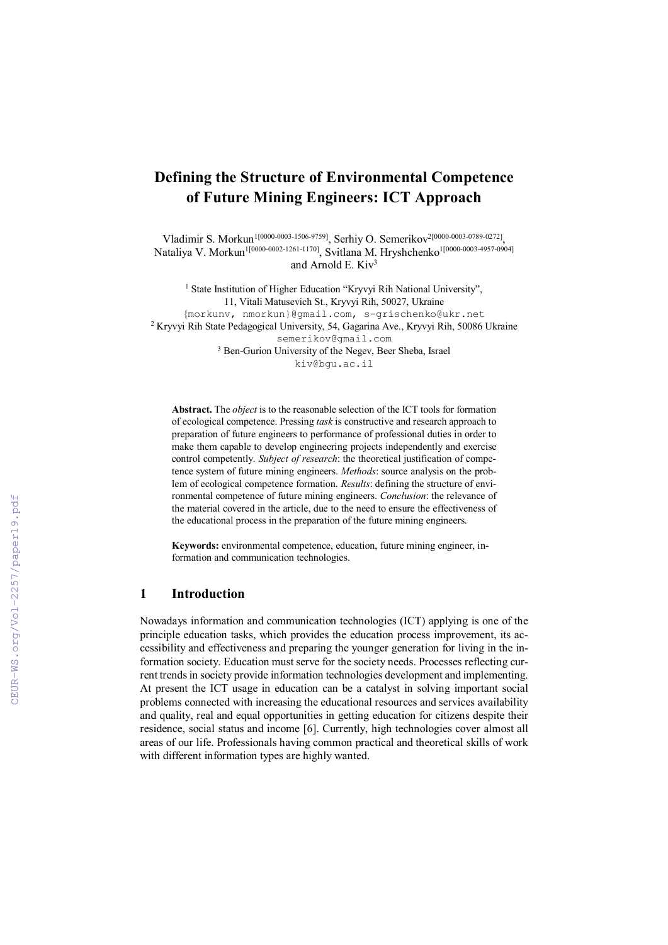# Defining the Structure of Environmental Competence of Future Mining Engineers: ICT Approach

Vladimir S. Morkun1[0000-0003-1506-9759], Serhiy O. Semerikov2[0000-0003-0789-0272], Nataliya V. Morkun<sup>1[0000-0002-1261-1170]</sup>, Svitlana M. Hryshchenko<sup>1[0000-0003-4957-0904]</sup> and Arnold E. Kiv<sup>3</sup>

<sup>1</sup> State Institution of Higher Education "Kryvyi Rih National University", 11, Vitali Matusevich St., Kryvyi Rih, 50027, Ukraine {morkunv, nmorkun}@gmail.com, s-grischenko@ukr.net 2 Kryvyi Rih State Pedagogical University, 54, Gagarina Ave., Kryvyi Rih, 50086 Ukraine semerikov@gmail.com 3 Ben-Gurion University of the Negev, Beer Sheba, Israel

kiv@bgu.ac.il

Abstract. The *object* is to the reasonable selection of the ICT tools for formation of ecological competence. Pressing *task* is constructive and research approach to preparation of future engineers to performance of professional duties in order to make them capable to develop engineering projects independently and exercise control competently. *Subject of research*: the theoretical justification of competence system of future mining engineers. *Methods*: source analysis on the problem of ecological competence formation. *Results*: defining the structure of environmental competence of future mining engineers. *Conclusion*: the relevance of the material covered in the article, due to the need to ensure the effectiveness of the educational process in the preparation of the future mining engineers.

Keywords: environmental competence, education, future mining engineer, information and communication technologies.

### 1 Introduction

Nowadays information and communication technologies (ICT) applying is one of the principle education tasks, which provides the education process improvement, its accessibility and effectiveness and preparing the younger generation for living in the information society. Education must serve for the society needs. Processes reflecting current trends in society provide information technologies development and implementing. At present the ICT usage in education can be a catalyst in solving important social problems connected with increasing the educational resources and services availability and quality, real and equal opportunities in getting education for citizens despite their residence, social status and income [6]. Currently, high technologies cover almost all areas of our life. Professionals having common practical and theoretical skills of work with different information types are highly wanted.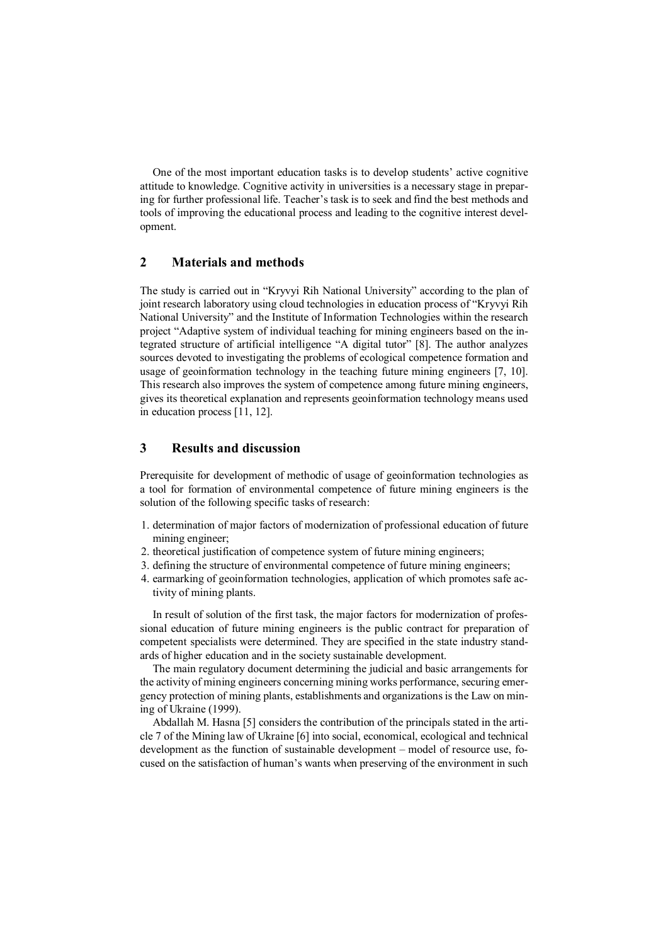One of the most important education tasks is to develop students' active cognitive attitude to knowledge. Cognitive activity in universities is a necessary stage in preparing for further professional life. Teacher's task is to seek and find the best methods and tools of improving the educational process and leading to the cognitive interest development.

#### 2 Materials and methods

The study is carried out in "Kryvyi Rih National University" according to the plan of joint research laboratory using cloud technologies in education process of "Kryvyi Rih National University" and the Institute of Information Technologies within the research project "Adaptive system of individual teaching for mining engineers based on the integrated structure of artificial intelligence "A digital tutor" [8]. The author analyzes sources devoted to investigating the problems of ecological competence formation and usage of geoinformation technology in the teaching future mining engineers [7, 10]. This research also improves the system of competence among future mining engineers, gives its theoretical explanation and represents geoinformation technology means used in education process [11, 12].

# 3 Results and discussion

Prerequisite for development of methodic of usage of geoinformation technologies as a tool for formation of environmental competence of future mining engineers is the solution of the following specific tasks of research:

- 1. determination of major factors of modernization of professional education of future mining engineer;
- 2. theoretical justification of competence system of future mining engineers;
- 3. defining the structure of environmental competence of future mining engineers;
- 4. earmarking of geoinformation technologies, application of which promotes safe activity of mining plants.

In result of solution of the first task, the major factors for modernization of professional education of future mining engineers is the public contract for preparation of competent specialists were determined. They are specified in the state industry standards of higher education and in the society sustainable development.

The main regulatory document determining the judicial and basic arrangements for the activity of mining engineers concerning mining works performance, securing emergency protection of mining plants, establishments and organizations is the Law on mining of Ukraine (1999).

Abdallah M. Hasna [5] considers the contribution of the principals stated in the article 7 of the Mining law of Ukraine [6] into social, economical, ecological and technical development as the function of sustainable development – model of resource use, focused on the satisfaction of human's wants when preserving of the environment in such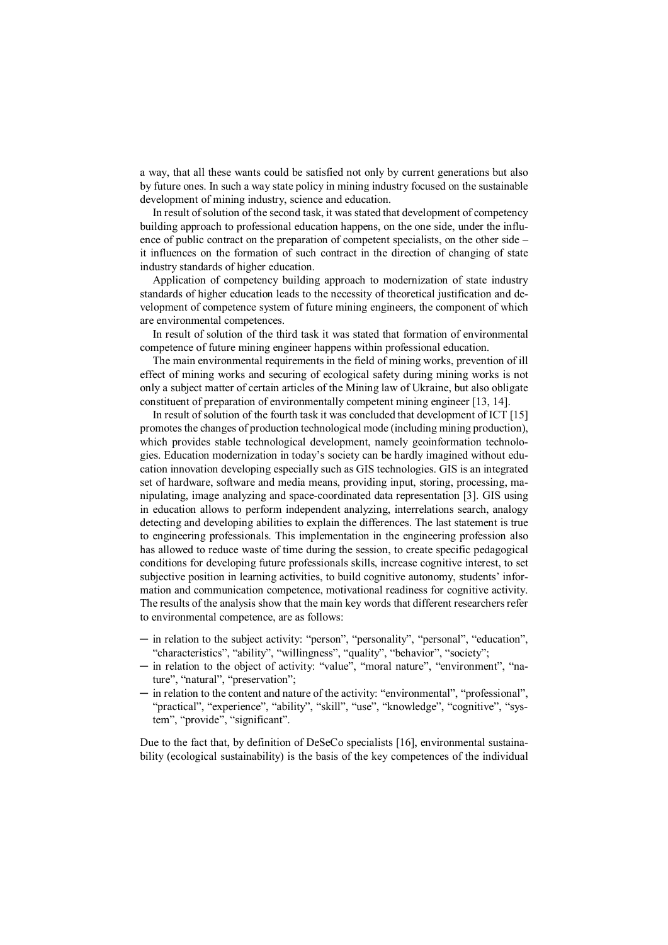a way, that all these wants could be satisfied not only by current generations but also by future ones. In such a way state policy in mining industry focused on the sustainable development of mining industry, science and education.

In result of solution of the second task, it was stated that development of competency building approach to professional education happens, on the one side, under the influence of public contract on the preparation of competent specialists, on the other side – it influences on the formation of such contract in the direction of changing of state industry standards of higher education.

Application of competency building approach to modernization of state industry standards of higher education leads to the necessity of theoretical justification and development of competence system of future mining engineers, the component of which are environmental competences.

In result of solution of the third task it was stated that formation of environmental competence of future mining engineer happens within professional education.

The main environmental requirements in the field of mining works, prevention of ill effect of mining works and securing of ecological safety during mining works is not only a subject matter of certain articles of the Mining law of Ukraine, but also obligate constituent of preparation of environmentally competent mining engineer [13, 14].

In result of solution of the fourth task it was concluded that development of ICT [15] promotes the changes of production technological mode (including mining production), which provides stable technological development, namely geoinformation technologies. Education modernization in today's society can be hardly imagined without education innovation developing especially such as GIS technologies. GIS is an integrated set of hardware, software and media means, providing input, storing, processing, manipulating, image analyzing and space-coordinated data representation [3]. GIS using in education allows to perform independent analyzing, interrelations search, analogy detecting and developing abilities to explain the differences. The last statement is true to engineering professionals. This implementation in the engineering profession also has allowed to reduce waste of time during the session, to create specific pedagogical conditions for developing future professionals skills, increase cognitive interest, to set subjective position in learning activities, to build cognitive autonomy, students' information and communication competence, motivational readiness for cognitive activity. The results of the analysis show that the main key words that different researchers refer to environmental competence, are as follows:

- ─ in relation to the subject activity: "person", "personality", "personal", "education", "characteristics", "ability", "willingness", "quality", "behavior", "society";
- ─ in relation to the object of activity: "value", "moral nature", "environment", "nature", "natural", "preservation";
- ─ in relation to the content and nature of the activity: "environmental", "professional", "practical", "experience", "ability", "skill", "use", "knowledge", "cognitive", "system", "provide", "significant".

Due to the fact that, by definition of DeSeCo specialists [16], environmental sustainability (ecological sustainability) is the basis of the key competences of the individual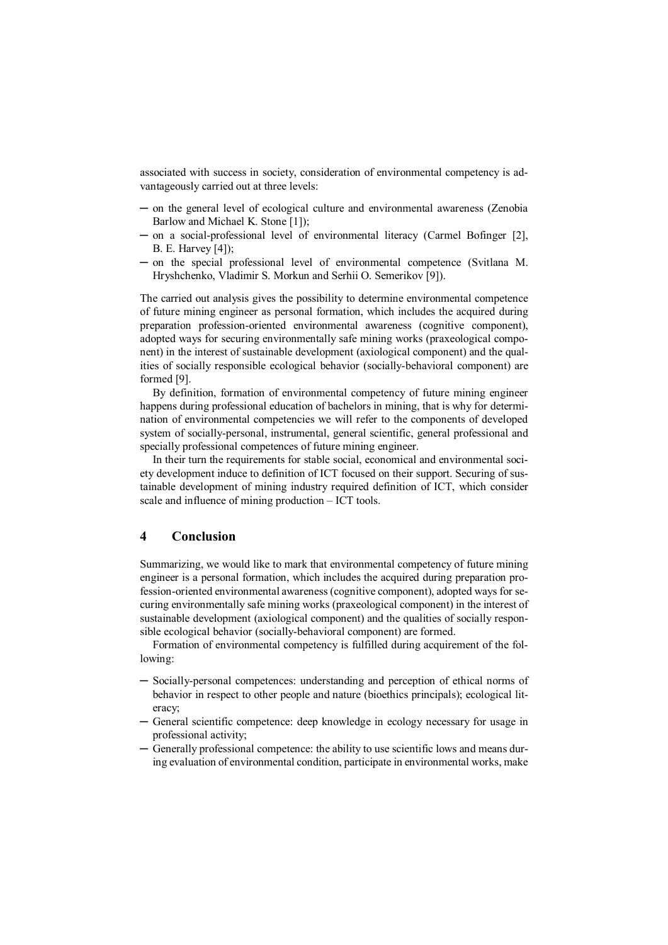associated with success in society, consideration of environmental competency is advantageously carried out at three levels:

- ─ on the general level of ecological culture and environmental awareness (Zenobia Barlow and Michael K. Stone [1]);
- ─ on a social-professional level of environmental literacy (Carmel Bofinger [2], B. E. Harvey [4]);
- ─ on the special professional level of environmental competence (Svitlana M. Hryshchenko, Vladimir S. Morkun and Serhii O. Semerіkov [9]).

The carried out analysis gives the possibility to determine environmental competence of future mining engineer as personal formation, which includes the acquired during preparation profession-oriented environmental awareness (cognitive component), adopted ways for securing environmentally safe mining works (praxeological component) in the interest of sustainable development (axiological component) and the qualities of socially responsible ecological behavior (socially-behavioral component) are formed [9].

By definition, formation of environmental competency of future mining engineer happens during professional education of bachelors in mining, that is why for determination of environmental competencies we will refer to the components of developed system of socially-personal, instrumental, general scientific, general professional and specially professional competences of future mining engineer.

In their turn the requirements for stable social, economical and environmental society development induce to definition of ICT focused on their support. Securing of sustainable development of mining industry required definition of ICT, which consider scale and influence of mining production – ICT tools.

## 4 Conclusion

Summarizing, we would like to mark that environmental competency of future mining engineer is a personal formation, which includes the acquired during preparation profession-oriented environmental awareness (cognitive component), adopted ways for securing environmentally safe mining works (praxeological component) in the interest of sustainable development (axiological component) and the qualities of socially responsible ecological behavior (socially-behavioral component) are formed.

Formation of environmental competency is fulfilled during acquirement of the following:

- ─ Socially-personal competences: understanding and perception of ethical norms of behavior in respect to other people and nature (bioethics principals); ecological literacy;
- ─ General scientific competence: deep knowledge in ecology necessary for usage in professional activity;
- ─ Generally professional competence: the ability to use scientific lows and means during evaluation of environmental condition, participate in environmental works, make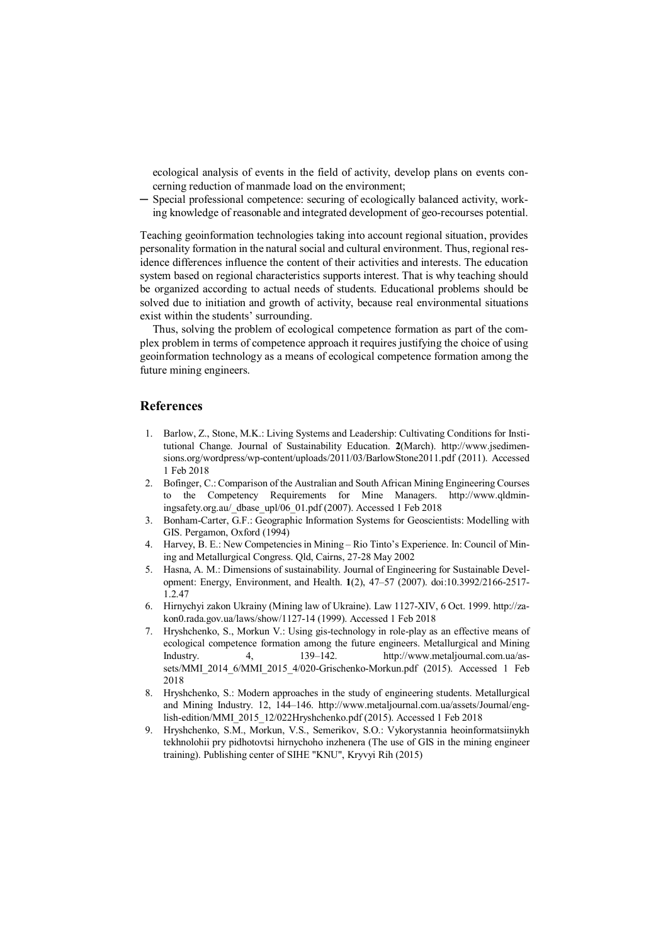ecological analysis of events in the field of activity, develop plans on events concerning reduction of manmade load on the environment;

─ Special professional competence: securing of ecologically balanced activity, working knowledge of reasonable and integrated development of geo-recourses potential.

Teaching geoinformation technologies taking into account regional situation, provides personality formation in the natural social and cultural environment. Thus, regional residence differences influence the content of their activities and interests. The education system based on regional characteristics supports interest. That is why teaching should be organized according to actual needs of students. Educational problems should be solved due to initiation and growth of activity, because real environmental situations exist within the students' surrounding.

Thus, solving the problem of ecological competence formation as part of the complex problem in terms of competence approach it requires justifying the choice of using geoinformation technology as a means of ecological competence formation among the future mining engineers.

#### References

- 1. Barlow, Z., Stone, M.K.: Living Systems and Leadership: Cultivating Conditions for Institutional Change. Journal of Sustainability Education. 2(March). http://www.jsedimensions.org/wordpress/wp-content/uploads/2011/03/BarlowStone2011.pdf (2011). Accessed 1 Feb 2018
- 2. Bofinger, C.: Comparison of the Australian and South African Mining Engineering Courses to the Competency Requirements for Mine Managers. http://www.qldminingsafety.org.au/\_dbase\_upl/06\_01.pdf (2007). Accessed 1 Feb 2018
- 3. Bonham-Carter, G.F.: Geographic Information Systems for Geoscientists: Modelling with GIS. Pergamon, Oxford (1994)
- 4. Harvey, B. E.: New Competencies in Mining Rio Tinto's Experience. In: Council of Mining and Metallurgical Congress. Qld, Cairns, 27-28 May 2002
- 5. Hasna, A. M.: Dimensions of sustainability. Journal of Engineering for Sustainable Development: Energy, Environment, and Health. 1(2), 47–57 (2007). doi:10.3992/2166-2517- 1.2.47
- 6. Hirnychyi zakon Ukrainy (Mining law of Ukraine). Law 1127-XIV, 6 Oct. 1999. http://zakon0.rada.gov.ua/laws/show/1127-14 (1999). Accessed 1 Feb 2018
- 7. Hryshchenko, S., Morkun V.: Using gis-technology in role-play as an effective means of ecological competence formation among the future engineers. Metallurgical and Mining Industry. 4, 139–142. http://www.metaljournal.com.ua/assets/MMI\_2014\_6/MMI\_2015\_4/020-Grischenko-Morkun.pdf (2015). Accessed 1 Feb 2018
- 8. Hryshchenko, S.: Modern approaches in the study of engineering students. Metallurgical and Mining Industry. 12, 144–146. http://www.metaljournal.com.ua/assets/Journal/english-edition/MMI\_2015\_12/022Hryshchenko.pdf (2015). Accessed 1 Feb 2018
- 9. Hryshchenko, S.M., Morkun, V.S., Semerіkov, S.O.: Vykorystannia heoinformatsiinykh tekhnolohii pry pidhotovtsi hirnychoho inzhenera (The use of GIS in the mining engineer training). Publishing center of SIHE "KNU", Kryvyi Rih (2015)